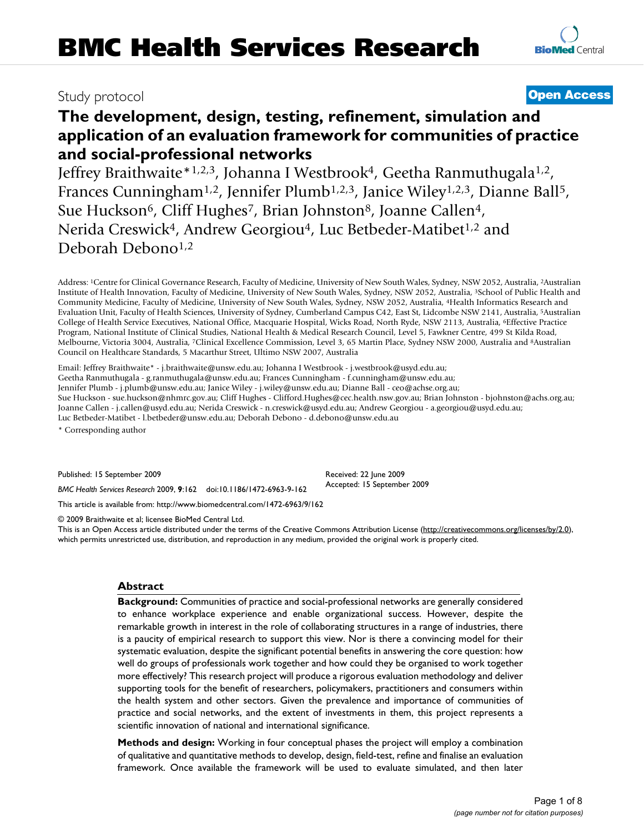## Study protocol **[Open Access](http://www.biomedcentral.com/info/about/charter/)**

# **The development, design, testing, refinement, simulation and application of an evaluation framework for communities of practice and social-professional networks**

Jeffrey Braithwaite\*1,2,3, Johanna I Westbrook<sup>4</sup>, Geetha Ranmuthugala<sup>1,2</sup>, Frances Cunningham<sup>1,2</sup>, Jennifer Plumb<sup>1,2,3</sup>, Janice Wiley<sup>1,2,3</sup>, Dianne Ball<sup>5</sup>, Sue Huckson<sup>6</sup>, Cliff Hughes<sup>7</sup>, Brian Johnston<sup>8</sup>, Joanne Callen<sup>4</sup>, Nerida Creswick<sup>4</sup>, Andrew Georgiou<sup>4</sup>, Luc Betbeder-Matibet<sup>1,2</sup> and Deborah Debono1,2

Address: 1Centre for Clinical Governance Research, Faculty of Medicine, University of New South Wales, Sydney, NSW 2052, Australia, 2Australian Institute of Health Innovation, Faculty of Medicine, University of New South Wales, Sydney, NSW 2052, Australia, 3School of Public Health and Community Medicine, Faculty of Medicine, University of New South Wales, Sydney, NSW 2052, Australia, 4Health Informatics Research and Evaluation Unit, Faculty of Health Sciences, University of Sydney, Cumberland Campus C42, East St, Lidcombe NSW 2141, Australia, 5Australian College of Health Service Executives, National Office, Macquarie Hospital, Wicks Road, North Ryde, NSW 2113, Australia, 6Effective Practice Program, National Institute of Clinical Studies, National Health & Medical Research Council, Level 5, Fawkner Centre, 499 St Kilda Road, Melbourne, Victoria 3004, Australia, 7Clinical Excellence Commission, Level 3, 65 Martin Place, Sydney NSW 2000, Australia and 8Australian Council on Healthcare Standards, 5 Macarthur Street, Ultimo NSW 2007, Australia

Email: Jeffrey Braithwaite\* - j.braithwaite@unsw.edu.au; Johanna I Westbrook - j.westbrook@usyd.edu.au; Geetha Ranmuthugala - g.ranmuthugala@unsw.edu.au; Frances Cunningham - f.cunningham@unsw.edu.au; Jennifer Plumb - j.plumb@unsw.edu.au; Janice Wiley - j.wiley@unsw.edu.au; Dianne Ball - ceo@achse.org.au; Sue Huckson - sue.huckson@nhmrc.gov.au; Cliff Hughes - Clifford.Hughes@cec.health.nsw.gov.au; Brian Johnston - bjohnston@achs.org.au; Joanne Callen - j.callen@usyd.edu.au; Nerida Creswick - n.creswick@usyd.edu.au; Andrew Georgiou - a.georgiou@usyd.edu.au; Luc Betbeder-Matibet - l.betbeder@unsw.edu.au; Deborah Debono - d.debono@unsw.edu.au

\* Corresponding author

Published: 15 September 2009 *BMC Health Services Research* 2009, **9**:162 doi:10.1186/1472-6963-9-162 Received: 22 June 2009 Accepted: 15 September 2009

[This article is available from: http://www.biomedcentral.com/1472-6963/9/162](http://www.biomedcentral.com/1472-6963/9/162) © 2009 Braithwaite et al; licensee BioMed Central Ltd.

This is an Open Access article distributed under the terms of the Creative Commons Attribution License [\(http://creativecommons.org/licenses/by/2.0\)](http://creativecommons.org/licenses/by/2.0), which permits unrestricted use, distribution, and reproduction in any medium, provided the original work is properly cited.

#### **Abstract**

**Background:** Communities of practice and social-professional networks are generally considered to enhance workplace experience and enable organizational success. However, despite the remarkable growth in interest in the role of collaborating structures in a range of industries, there is a paucity of empirical research to support this view. Nor is there a convincing model for their systematic evaluation, despite the significant potential benefits in answering the core question: how well do groups of professionals work together and how could they be organised to work together more effectively? This research project will produce a rigorous evaluation methodology and deliver supporting tools for the benefit of researchers, policymakers, practitioners and consumers within the health system and other sectors. Given the prevalence and importance of communities of practice and social networks, and the extent of investments in them, this project represents a scientific innovation of national and international significance.

**Methods and design:** Working in four conceptual phases the project will employ a combination of qualitative and quantitative methods to develop, design, field-test, refine and finalise an evaluation framework. Once available the framework will be used to evaluate simulated, and then later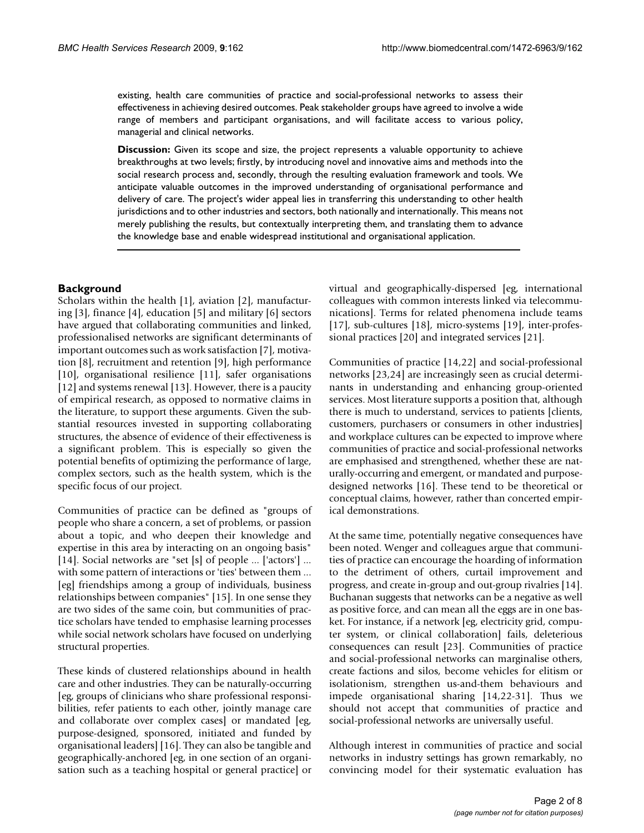existing, health care communities of practice and social-professional networks to assess their effectiveness in achieving desired outcomes. Peak stakeholder groups have agreed to involve a wide range of members and participant organisations, and will facilitate access to various policy, managerial and clinical networks.

**Discussion:** Given its scope and size, the project represents a valuable opportunity to achieve breakthroughs at two levels; firstly, by introducing novel and innovative aims and methods into the social research process and, secondly, through the resulting evaluation framework and tools. We anticipate valuable outcomes in the improved understanding of organisational performance and delivery of care. The project's wider appeal lies in transferring this understanding to other health jurisdictions and to other industries and sectors, both nationally and internationally. This means not merely publishing the results, but contextually interpreting them, and translating them to advance the knowledge base and enable widespread institutional and organisational application.

#### **Background**

Scholars within the health [1], aviation [2], manufacturing [3], finance [4], education [5] and military [6] sectors have argued that collaborating communities and linked, professionalised networks are significant determinants of important outcomes such as work satisfaction [7], motivation [8], recruitment and retention [9], high performance [10], organisational resilience [11], safer organisations [12] and systems renewal [13]. However, there is a paucity of empirical research, as opposed to normative claims in the literature, to support these arguments. Given the substantial resources invested in supporting collaborating structures, the absence of evidence of their effectiveness is a significant problem. This is especially so given the potential benefits of optimizing the performance of large, complex sectors, such as the health system, which is the specific focus of our project.

Communities of practice can be defined as "groups of people who share a concern, a set of problems, or passion about a topic, and who deepen their knowledge and expertise in this area by interacting on an ongoing basis" [14]. Social networks are "set [s] of people ... ['actors'] ... with some pattern of interactions or 'ties' between them ... [eg] friendships among a group of individuals, business relationships between companies" [15]. In one sense they are two sides of the same coin, but communities of practice scholars have tended to emphasise learning processes while social network scholars have focused on underlying structural properties.

These kinds of clustered relationships abound in health care and other industries. They can be naturally-occurring [eg, groups of clinicians who share professional responsibilities, refer patients to each other, jointly manage care and collaborate over complex cases] or mandated [eg, purpose-designed, sponsored, initiated and funded by organisational leaders] [16]. They can also be tangible and geographically-anchored [eg, in one section of an organisation such as a teaching hospital or general practice] or virtual and geographically-dispersed [eg, international colleagues with common interests linked via telecommunications]. Terms for related phenomena include teams [17], sub-cultures [18], micro-systems [19], inter-professional practices [20] and integrated services [21].

Communities of practice [14,22] and social-professional networks [23,24] are increasingly seen as crucial determinants in understanding and enhancing group-oriented services. Most literature supports a position that, although there is much to understand, services to patients [clients, customers, purchasers or consumers in other industries] and workplace cultures can be expected to improve where communities of practice and social-professional networks are emphasised and strengthened, whether these are naturally-occurring and emergent, or mandated and purposedesigned networks [16]. These tend to be theoretical or conceptual claims, however, rather than concerted empirical demonstrations.

At the same time, potentially negative consequences have been noted. Wenger and colleagues argue that communities of practice can encourage the hoarding of information to the detriment of others, curtail improvement and progress, and create in-group and out-group rivalries [14]. Buchanan suggests that networks can be a negative as well as positive force, and can mean all the eggs are in one basket. For instance, if a network [eg, electricity grid, computer system, or clinical collaboration] fails, deleterious consequences can result [23]. Communities of practice and social-professional networks can marginalise others, create factions and silos, become vehicles for elitism or isolationism, strengthen us-and-them behaviours and impede organisational sharing [14,22-31]. Thus we should not accept that communities of practice and social-professional networks are universally useful.

Although interest in communities of practice and social networks in industry settings has grown remarkably, no convincing model for their systematic evaluation has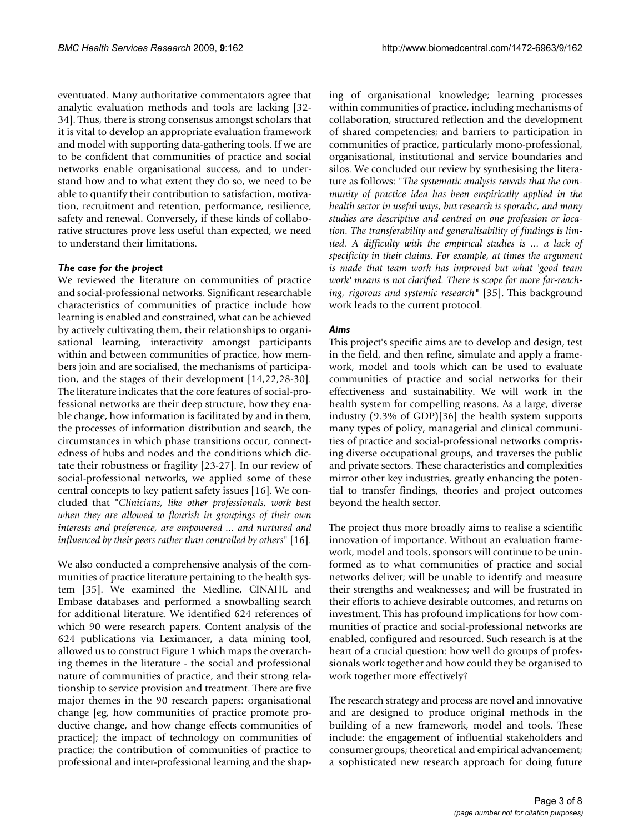eventuated. Many authoritative commentators agree that analytic evaluation methods and tools are lacking [32- 34]. Thus, there is strong consensus amongst scholars that it is vital to develop an appropriate evaluation framework and model with supporting data-gathering tools. If we are to be confident that communities of practice and social networks enable organisational success, and to understand how and to what extent they do so, we need to be able to quantify their contribution to satisfaction, motivation, recruitment and retention, performance, resilience, safety and renewal. Conversely, if these kinds of collaborative structures prove less useful than expected, we need to understand their limitations.

#### *The case for the project*

We reviewed the literature on communities of practice and social-professional networks. Significant researchable characteristics of communities of practice include how learning is enabled and constrained, what can be achieved by actively cultivating them, their relationships to organisational learning, interactivity amongst participants within and between communities of practice, how members join and are socialised, the mechanisms of participation, and the stages of their development [14,22,28-30]. The literature indicates that the core features of social-professional networks are their deep structure, how they enable change, how information is facilitated by and in them, the processes of information distribution and search, the circumstances in which phase transitions occur, connectedness of hubs and nodes and the conditions which dictate their robustness or fragility [23-27]. In our review of social-professional networks, we applied some of these central concepts to key patient safety issues [16]. We concluded that "*Clinicians, like other professionals, work best when they are allowed to flourish in groupings of their own interests and preference, are empowered ... and nurtured and influenced by their peers rather than controlled by others*" [16].

We also conducted a comprehensive analysis of the communities of practice literature pertaining to the health system [35]. We examined the Medline, CINAHL and Embase databases and performed a snowballing search for additional literature. We identified 624 references of which 90 were research papers. Content analysis of the 624 publications via Leximancer, a data mining tool, allowed us to construct Figure 1 which maps the overarching themes in the literature - the social and professional nature of communities of practice, and their strong relationship to service provision and treatment. There are five major themes in the 90 research papers: organisational change [eg, how communities of practice promote productive change, and how change effects communities of practice]; the impact of technology on communities of practice; the contribution of communities of practice to professional and inter-professional learning and the shaping of organisational knowledge; learning processes within communities of practice, including mechanisms of collaboration, structured reflection and the development of shared competencies; and barriers to participation in communities of practice, particularly mono-professional, organisational, institutional and service boundaries and silos. We concluded our review by synthesising the literature as follows: "*The systematic analysis reveals that the community of practice idea has been empirically applied in the health sector in useful ways, but research is sporadic, and many studies are descriptive and centred on one profession or location. The transferability and generalisability of findings is limited. A difficulty with the empirical studies is ... a lack of specificity in their claims. For example, at times the argument is made that team work has improved but what 'good team work' means is not clarified. There is scope for more far-reaching, rigorous and systemic research"* [35]. This background work leads to the current protocol.

#### *Aims*

This project's specific aims are to develop and design, test in the field, and then refine, simulate and apply a framework, model and tools which can be used to evaluate communities of practice and social networks for their effectiveness and sustainability. We will work in the health system for compelling reasons. As a large, diverse industry (9.3% of GDP)[36] the health system supports many types of policy, managerial and clinical communities of practice and social-professional networks comprising diverse occupational groups, and traverses the public and private sectors. These characteristics and complexities mirror other key industries, greatly enhancing the potential to transfer findings, theories and project outcomes beyond the health sector.

The project thus more broadly aims to realise a scientific innovation of importance. Without an evaluation framework, model and tools, sponsors will continue to be uninformed as to what communities of practice and social networks deliver; will be unable to identify and measure their strengths and weaknesses; and will be frustrated in their efforts to achieve desirable outcomes, and returns on investment. This has profound implications for how communities of practice and social-professional networks are enabled, configured and resourced. Such research is at the heart of a crucial question: how well do groups of professionals work together and how could they be organised to work together more effectively?

The research strategy and process are novel and innovative and are designed to produce original methods in the building of a new framework, model and tools. These include: the engagement of influential stakeholders and consumer groups; theoretical and empirical advancement; a sophisticated new research approach for doing future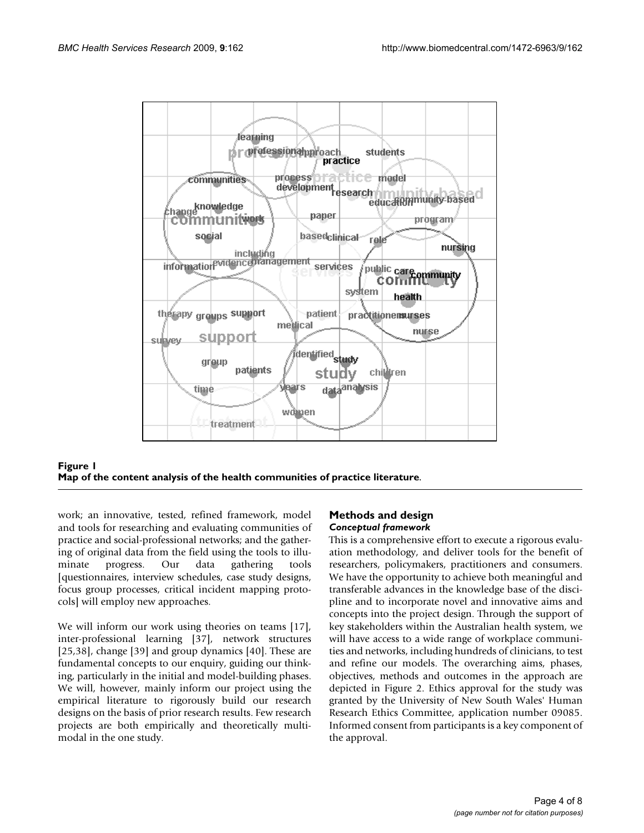

Map of the content analysis of the heal **Figure 1** th communities of practice literature **Map of the content analysis of the health communities of practice literature**.

work; an innovative, tested, refined framework, model and tools for researching and evaluating communities of practice and social-professional networks; and the gathering of original data from the field using the tools to illuminate progress. Our data gathering tools [questionnaires, interview schedules, case study designs, focus group processes, critical incident mapping protocols] will employ new approaches.

We will inform our work using theories on teams [17], inter-professional learning [37], network structures [25,38], change [39] and group dynamics [40]. These are fundamental concepts to our enquiry, guiding our thinking, particularly in the initial and model-building phases. We will, however, mainly inform our project using the empirical literature to rigorously build our research designs on the basis of prior research results. Few research projects are both empirically and theoretically multimodal in the one study.

### **Methods and design** *Conceptual framework*

This is a comprehensive effort to execute a rigorous evaluation methodology, and deliver tools for the benefit of researchers, policymakers, practitioners and consumers. We have the opportunity to achieve both meaningful and transferable advances in the knowledge base of the discipline and to incorporate novel and innovative aims and concepts into the project design. Through the support of key stakeholders within the Australian health system, we will have access to a wide range of workplace communities and networks, including hundreds of clinicians, to test and refine our models. The overarching aims, phases, objectives, methods and outcomes in the approach are depicted in Figure 2. Ethics approval for the study was granted by the University of New South Wales' Human Research Ethics Committee, application number 09085. Informed consent from participants is a key component of the approval.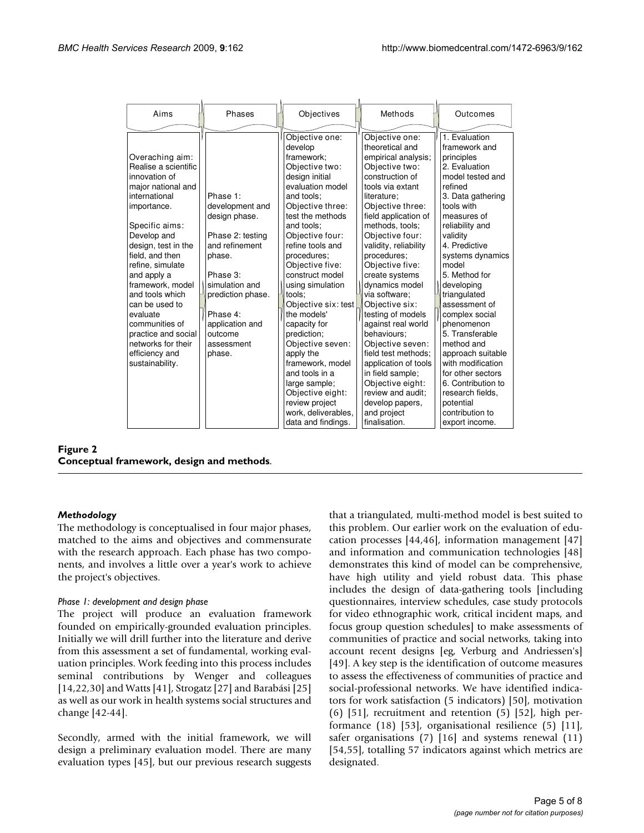| Aims                                                                                                                                                                                                                                                                                                                                                                                                  | Phases                                                                                                                                                                                                            | Objectives                                                                                                                                                                                                                                                                                                                                                                                                                                                                                                                                    | Methods                                                                                                                                                                                                                                                                                                                                                                                                                                                                                                                                                                                           | Outcomes                                                                                                                                                                                                                                                                                                                                                                                                                                                                                                                |
|-------------------------------------------------------------------------------------------------------------------------------------------------------------------------------------------------------------------------------------------------------------------------------------------------------------------------------------------------------------------------------------------------------|-------------------------------------------------------------------------------------------------------------------------------------------------------------------------------------------------------------------|-----------------------------------------------------------------------------------------------------------------------------------------------------------------------------------------------------------------------------------------------------------------------------------------------------------------------------------------------------------------------------------------------------------------------------------------------------------------------------------------------------------------------------------------------|---------------------------------------------------------------------------------------------------------------------------------------------------------------------------------------------------------------------------------------------------------------------------------------------------------------------------------------------------------------------------------------------------------------------------------------------------------------------------------------------------------------------------------------------------------------------------------------------------|-------------------------------------------------------------------------------------------------------------------------------------------------------------------------------------------------------------------------------------------------------------------------------------------------------------------------------------------------------------------------------------------------------------------------------------------------------------------------------------------------------------------------|
| Overaching aim:<br>Realise a scientific<br>innovation of<br>major national and<br>international<br>importance.<br>Specific aims:<br>Develop and<br>design, test in the<br>field, and then<br>refine, simulate<br>and apply a<br>framework, model<br>and tools which<br>can be used to<br>evaluate<br>communities of<br>practice and social<br>networks for their<br>efficiency and<br>sustainability. | Phase 1:<br>development and<br>design phase.<br>Phase 2: testing<br>and refinement<br>phase.<br>Phase 3:<br>simulation and<br>prediction phase.<br>Phase 4:<br>application and<br>outcome<br>assessment<br>phase. | Objective one:<br>develop<br>framework:<br>Objective two:<br>design initial<br>evaluation model<br>and tools:<br>Objective three:<br>test the methods<br>and tools:<br>Objective four:<br>refine tools and<br>procedures:<br>Objective five:<br>construct model<br>using simulation<br>tools:<br>Objective six: test<br>the models'<br>capacity for<br>prediction;<br>Objective seven:<br>apply the<br>framework, model<br>and tools in a<br>large sample;<br>Objective eight:<br>review project<br>work, deliverables,<br>data and findings. | Objective one:<br>theoretical and<br>empirical analysis;<br>Objective two:<br>construction of<br>tools via extant<br>literature;<br>Objective three:<br>field application of<br>methods, tools;<br>Objective four:<br>validity, reliability<br>procedures:<br>Objective five:<br>create systems<br>dynamics model<br>via software:<br>Objective six:<br>testing of models<br>against real world<br>behaviours:<br>Objective seven:<br>field test methods:<br>application of tools<br>in field sample;<br>Objective eight:<br>review and audit:<br>develop papers,<br>and project<br>finalisation. | 1. Evaluation<br>framework and<br>principles<br>2. Evaluation<br>model tested and<br>refined<br>3. Data gathering<br>tools with<br>measures of<br>reliability and<br>validity<br>4. Predictive<br>systems dynamics<br>model<br>5. Method for<br>developing<br>triangulated<br>assessment of<br>complex social<br>phenomenon<br>5. Transferable<br>method and<br>approach suitable<br>with modification<br>for other sectors<br>6. Contribution to<br>research fields.<br>potential<br>contribution to<br>export income. |

#### **Figure 2 Conceptual framework, design and methods**.

#### *Methodology*

The methodology is conceptualised in four major phases, matched to the aims and objectives and commensurate with the research approach. Each phase has two components, and involves a little over a year's work to achieve the project's objectives.

#### *Phase 1: development and design phase*

The project will produce an evaluation framework founded on empirically-grounded evaluation principles. Initially we will drill further into the literature and derive from this assessment a set of fundamental, working evaluation principles. Work feeding into this process includes seminal contributions by Wenger and colleagues [14,22,30] and Watts [41], Strogatz [27] and Barabási [25] as well as our work in health systems social structures and change [42-44].

Secondly, armed with the initial framework, we will design a preliminary evaluation model. There are many evaluation types [45], but our previous research suggests that a triangulated, multi-method model is best suited to this problem. Our earlier work on the evaluation of education processes [44,46], information management [47] and information and communication technologies [48] demonstrates this kind of model can be comprehensive, have high utility and yield robust data. This phase includes the design of data-gathering tools [including questionnaires, interview schedules, case study protocols for video ethnographic work, critical incident maps, and focus group question schedules] to make assessments of communities of practice and social networks, taking into account recent designs [eg, Verburg and Andriessen's] [49]. A key step is the identification of outcome measures to assess the effectiveness of communities of practice and social-professional networks. We have identified indicators for work satisfaction (5 indicators) [50], motivation (6) [51], recruitment and retention (5) [52], high performance (18) [53], organisational resilience (5) [11], safer organisations (7) [16] and systems renewal (11) [54,55], totalling 57 indicators against which metrics are designated.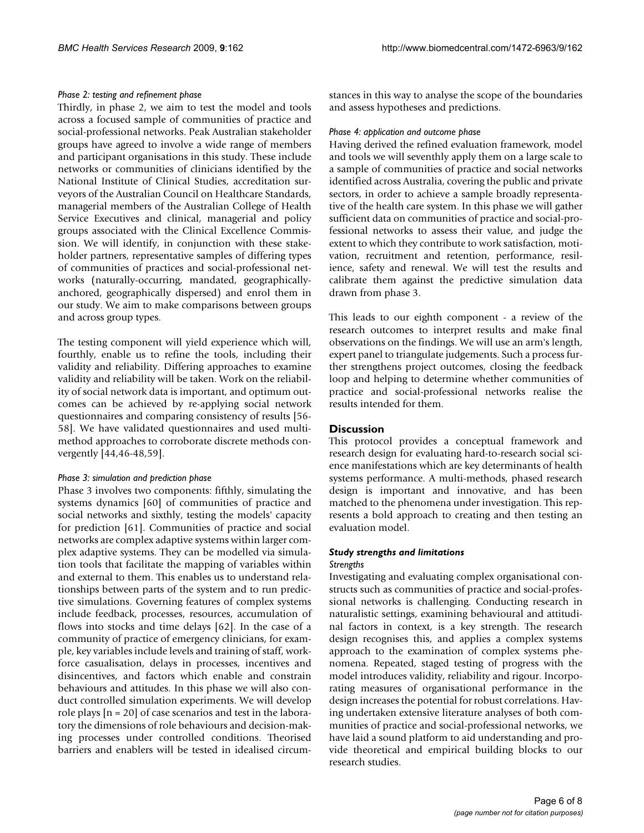#### *Phase 2: testing and refinement phase*

Thirdly, in phase 2, we aim to test the model and tools across a focused sample of communities of practice and social-professional networks. Peak Australian stakeholder groups have agreed to involve a wide range of members and participant organisations in this study. These include networks or communities of clinicians identified by the National Institute of Clinical Studies, accreditation surveyors of the Australian Council on Healthcare Standards, managerial members of the Australian College of Health Service Executives and clinical, managerial and policy groups associated with the Clinical Excellence Commission. We will identify, in conjunction with these stakeholder partners, representative samples of differing types of communities of practices and social-professional networks (naturally-occurring, mandated, geographicallyanchored, geographically dispersed) and enrol them in our study. We aim to make comparisons between groups and across group types.

The testing component will yield experience which will, fourthly, enable us to refine the tools, including their validity and reliability. Differing approaches to examine validity and reliability will be taken. Work on the reliability of social network data is important, and optimum outcomes can be achieved by re-applying social network questionnaires and comparing consistency of results [56- 58]. We have validated questionnaires and used multimethod approaches to corroborate discrete methods convergently [44,46-48,59].

#### *Phase 3: simulation and prediction phase*

Phase 3 involves two components: fifthly, simulating the systems dynamics [60] of communities of practice and social networks and sixthly, testing the models' capacity for prediction [61]. Communities of practice and social networks are complex adaptive systems within larger complex adaptive systems. They can be modelled via simulation tools that facilitate the mapping of variables within and external to them. This enables us to understand relationships between parts of the system and to run predictive simulations. Governing features of complex systems include feedback, processes, resources, accumulation of flows into stocks and time delays [62]. In the case of a community of practice of emergency clinicians, for example, key variables include levels and training of staff, workforce casualisation, delays in processes, incentives and disincentives, and factors which enable and constrain behaviours and attitudes. In this phase we will also conduct controlled simulation experiments. We will develop role plays [n = 20] of case scenarios and test in the laboratory the dimensions of role behaviours and decision-making processes under controlled conditions. Theorised barriers and enablers will be tested in idealised circumstances in this way to analyse the scope of the boundaries and assess hypotheses and predictions.

#### *Phase 4: application and outcome phase*

Having derived the refined evaluation framework, model and tools we will seventhly apply them on a large scale to a sample of communities of practice and social networks identified across Australia, covering the public and private sectors, in order to achieve a sample broadly representative of the health care system. In this phase we will gather sufficient data on communities of practice and social-professional networks to assess their value, and judge the extent to which they contribute to work satisfaction, motivation, recruitment and retention, performance, resilience, safety and renewal. We will test the results and calibrate them against the predictive simulation data drawn from phase 3.

This leads to our eighth component - a review of the research outcomes to interpret results and make final observations on the findings. We will use an arm's length, expert panel to triangulate judgements. Such a process further strengthens project outcomes, closing the feedback loop and helping to determine whether communities of practice and social-professional networks realise the results intended for them.

#### **Discussion**

This protocol provides a conceptual framework and research design for evaluating hard-to-research social science manifestations which are key determinants of health systems performance. A multi-methods, phased research design is important and innovative, and has been matched to the phenomena under investigation. This represents a bold approach to creating and then testing an evaluation model.

#### *Study strengths and limitations*

#### *Strengths*

Investigating and evaluating complex organisational constructs such as communities of practice and social-professional networks is challenging. Conducting research in naturalistic settings, examining behavioural and attitudinal factors in context, is a key strength. The research design recognises this, and applies a complex systems approach to the examination of complex systems phenomena. Repeated, staged testing of progress with the model introduces validity, reliability and rigour. Incorporating measures of organisational performance in the design increases the potential for robust correlations. Having undertaken extensive literature analyses of both communities of practice and social-professional networks, we have laid a sound platform to aid understanding and provide theoretical and empirical building blocks to our research studies.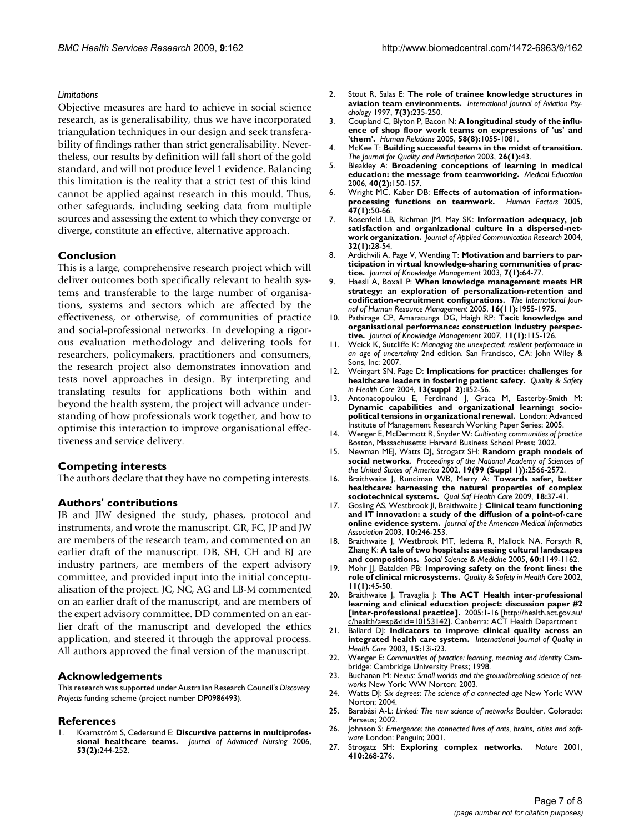#### *Limitations*

Objective measures are hard to achieve in social science research, as is generalisability, thus we have incorporated triangulation techniques in our design and seek transferability of findings rather than strict generalisability. Nevertheless, our results by definition will fall short of the gold standard, and will not produce level 1 evidence. Balancing this limitation is the reality that a strict test of this kind cannot be applied against research in this mould. Thus, other safeguards, including seeking data from multiple sources and assessing the extent to which they converge or diverge, constitute an effective, alternative approach.

#### **Conclusion**

This is a large, comprehensive research project which will deliver outcomes both specifically relevant to health systems and transferable to the large number of organisations, systems and sectors which are affected by the effectiveness, or otherwise, of communities of practice and social-professional networks. In developing a rigorous evaluation methodology and delivering tools for researchers, policymakers, practitioners and consumers, the research project also demonstrates innovation and tests novel approaches in design. By interpreting and translating results for applications both within and beyond the health system, the project will advance understanding of how professionals work together, and how to optimise this interaction to improve organisational effectiveness and service delivery.

### **Competing interests**

The authors declare that they have no competing interests.

#### **Authors' contributions**

JB and JIW designed the study, phases, protocol and instruments, and wrote the manuscript. GR, FC, JP and JW are members of the research team, and commented on an earlier draft of the manuscript. DB, SH, CH and BJ are industry partners, are members of the expert advisory committee, and provided input into the initial conceptualisation of the project. JC, NC, AG and LB-M commented on an earlier draft of the manuscript, and are members of the expert advisory committee. DD commented on an earlier draft of the manuscript and developed the ethics application, and steered it through the approval process. All authors approved the final version of the manuscript.

#### **Acknowledgements**

This research was supported under Australian Research Council's *Discovery Projects* funding scheme (project number DP0986493).

#### **References**

1. Kvarnström S, Cedersund E: **[Discursive patterns in multiprofes](http://www.ncbi.nlm.nih.gov/entrez/query.fcgi?cmd=Retrieve&db=PubMed&dopt=Abstract&list_uids=16422723)[sional healthcare teams.](http://www.ncbi.nlm.nih.gov/entrez/query.fcgi?cmd=Retrieve&db=PubMed&dopt=Abstract&list_uids=16422723)** *Journal of Advanced Nursing* 2006, **53(2):**244-252.

- 2. Stout R, Salas E: **[The role of trainee knowledge structures in](http://www.ncbi.nlm.nih.gov/entrez/query.fcgi?cmd=Retrieve&db=PubMed&dopt=Abstract&list_uids=11540942) [aviation team environments.](http://www.ncbi.nlm.nih.gov/entrez/query.fcgi?cmd=Retrieve&db=PubMed&dopt=Abstract&list_uids=11540942)** *International Journal of Aviation Psychology* 1997, **7(3):**235-250.
- 3. Coupland C, Blyton P, Bacon N: **A longitudinal study of the influence of shop floor work teams on expressions of 'us' and 'them'.** *Human Relations* 2005, **58(8):**1055-1081.
- 4. McKee T: **Building successful teams in the midst of transition.** *The Journal for Quality and Participation* 2003, **26(1):**43.
- 5. Bleakley A: **[Broadening conceptions of learning in medical](http://www.ncbi.nlm.nih.gov/entrez/query.fcgi?cmd=Retrieve&db=PubMed&dopt=Abstract&list_uids=16451243) [education: the message from teamworking.](http://www.ncbi.nlm.nih.gov/entrez/query.fcgi?cmd=Retrieve&db=PubMed&dopt=Abstract&list_uids=16451243)** *Medical Education* 2006, **40(2):**150-157.
- 6. Wright MC, Kaber DB: **[Effects of automation of information](http://www.ncbi.nlm.nih.gov/entrez/query.fcgi?cmd=Retrieve&db=PubMed&dopt=Abstract&list_uids=15960086)[processing functions on teamwork.](http://www.ncbi.nlm.nih.gov/entrez/query.fcgi?cmd=Retrieve&db=PubMed&dopt=Abstract&list_uids=15960086)** *Human Factors* 2005, **47(1):**50-66.
- 7. Rosenfeld LB, Richman JM, May SK: **Information adequacy, job satisfaction and organizational culture in a dispersed-network organization.** *Journal of Applied Communication Research* 2004, **32(1):**28-54.
- 8. Ardichvili A, Page V, Wentling T: **Motivation and barriers to participation in virtual knowledge-sharing communities of practice.** *Journal of Knowledge Management* 2003, **7(1):**64-77.
- 9. Haesli A, Boxall P: **When knowledge management meets HR strategy: an exploration of personalization-retention and codification-recruitment configurations.** *The International Journal of Human Resource Management* 2005, **16(11):**1955-1975.
- 10. Pathirage CP, Amaratunga DG, Haigh RP: **Tacit knowledge and organisational performance: construction industry perspective.** *Journal of Knowledge Management* 2007, **11(1):**115-126.
- 11. Weick K, Sutcliffe K: *Managing the unexpected: resilient performance in an age of uncertainty* 2nd edition. San Francisco, CA: John Wiley & Sons, Inc; 2007.
- 12. Weingart SN, Page D: **[Implications for practice: challenges for](http://www.ncbi.nlm.nih.gov/entrez/query.fcgi?cmd=Retrieve&db=PubMed&dopt=Abstract&list_uids=15576693) [healthcare leaders in fostering patient safety.](http://www.ncbi.nlm.nih.gov/entrez/query.fcgi?cmd=Retrieve&db=PubMed&dopt=Abstract&list_uids=15576693)** *Quality & Safety in Health Care* 2004, **13(suppl\_2):**ii52-56.
- 13. Antonacopoulou E, Ferdinand J, Graca M, Easterby-Smith M: **Dynamic capabilities and organizational learning: sociopolitical tensions in organizational renewal.** London: Advanced Institute of Management Research Working Paper Series; 2005.
- 14. Wenger E, McDermott R, Snyder W: *Cultivating communities of practice* Boston, Massachusetts: Harvard Business School Press; 2002.
- 15. Newman MEJ, Watts DJ, Strogatz SH: **Random graph models of social networks.** *Proceedings of the National Academy of Sciences of the United States of America* 2002, **19(99 (Suppl 1)):**2566-2572.
- 16. Braithwaite J, Runciman WB, Merry A: **[Towards safer, better](http://www.ncbi.nlm.nih.gov/entrez/query.fcgi?cmd=Retrieve&db=PubMed&dopt=Abstract&list_uids=19204130) [healthcare: harnessing the natural properties of complex](http://www.ncbi.nlm.nih.gov/entrez/query.fcgi?cmd=Retrieve&db=PubMed&dopt=Abstract&list_uids=19204130) [sociotechnical systems.](http://www.ncbi.nlm.nih.gov/entrez/query.fcgi?cmd=Retrieve&db=PubMed&dopt=Abstract&list_uids=19204130)** *Qual Saf Health Care* 2009, **18:**37-41.
- 17. Gosling AS, Westbrook Jl, Braithwaite J: **Clinical team functioning and IT innovation: a study of the diffusion of a point-of-care online evidence system.** *Journal of the American Medical Informatics Association* 2003, **10:**246-253.
- 18. Braithwaite J, Westbrook MT, Iedema R, Mallock NA, Forsyth R, Zhang K: **A tale of two hospitals: assessing cultural landscapes and compositions.** *Social Science & Medicine* 2005, **60:**1149-1162.
- 19. Mohr JJ, Batalden PB: **[Improving safety on the front lines: the](http://www.ncbi.nlm.nih.gov/entrez/query.fcgi?cmd=Retrieve&db=PubMed&dopt=Abstract&list_uids=12078369) [role of clinical microsystems.](http://www.ncbi.nlm.nih.gov/entrez/query.fcgi?cmd=Retrieve&db=PubMed&dopt=Abstract&list_uids=12078369)** *Quality & Safety in Health Care* 2002, **11(1):**45-50.
- 20. Braithwaite J, Travaglia J: **[The ACT Health inter-professional](http://www.ncbi.nlm.nih.gov/entrez/query.fcgi?cmd=Retrieve&db=PubMed&dopt=Abstract&list_uids=15843113) [learning and clinical education project: discussion paper #2](http://www.ncbi.nlm.nih.gov/entrez/query.fcgi?cmd=Retrieve&db=PubMed&dopt=Abstract&list_uids=15843113) [\[inter-professional practice\].](http://www.ncbi.nlm.nih.gov/entrez/query.fcgi?cmd=Retrieve&db=PubMed&dopt=Abstract&list_uids=15843113)** 2005:1-16 [[http://health.act.gov.au/](http://health.act.gov.au/c/health?a=sp&did=10153142) [c/health?a=sp&did=10153142\]](http://health.act.gov.au/c/health?a=sp&did=10153142). Canberra: ACT Health Department
- 21. Ballard DJ: **Indicators to improve clinical quality across an integrated health care system.** *International Journal of Quality in Health Care* 2003, **15:**13i-i23.
- 22. Wenger E: *Communities of practice: learning, meaning and identity* Cambridge: Cambridge University Press; 1998.
- 23. Buchanan M: *Nexus: Small worlds and the groundbreaking science of networks* New York: WW Norton; 2003.
- 24. Watts DJ: *Six degrees: The science of a connected age* New York: WW Norton; 2004.
- 25. Barabási A-L: *Linked: The new science of networks* Boulder, Colorado: Perseus; 2002.
- 26. Johnson S: *Emergence: the connected lives of ants, brains, cities and software* London: Penguin; 2001.
- 27. Strogatz SH: **[Exploring complex networks.](http://www.ncbi.nlm.nih.gov/entrez/query.fcgi?cmd=Retrieve&db=PubMed&dopt=Abstract&list_uids=11258382)** *Nature* 2001, **410:**268-276.